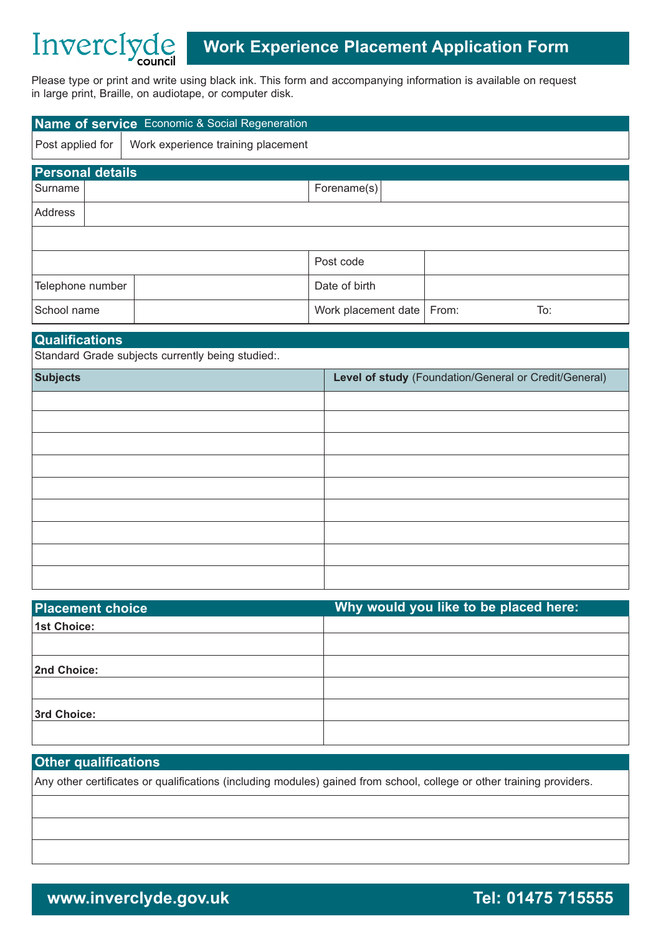# Inverciyde **Work Experience Placement Application Form**

Please type or print and write using black ink. This form and accompanying information is available on request in large print, Braille, on audiotape, or computer disk.

| Name of service Economic & Social Regeneration    |                                    |                     |       |                                                       |  |
|---------------------------------------------------|------------------------------------|---------------------|-------|-------------------------------------------------------|--|
| Post applied for                                  | Work experience training placement |                     |       |                                                       |  |
| <b>Personal details</b>                           |                                    |                     |       |                                                       |  |
| Surname                                           |                                    | Forename(s)         |       |                                                       |  |
| Address                                           |                                    |                     |       |                                                       |  |
|                                                   |                                    |                     |       |                                                       |  |
|                                                   |                                    | Post code           |       |                                                       |  |
| Telephone number                                  |                                    | Date of birth       |       |                                                       |  |
| School name                                       |                                    | Work placement date | From: | To:                                                   |  |
| <b>Qualifications</b>                             |                                    |                     |       |                                                       |  |
| Standard Grade subjects currently being studied:. |                                    |                     |       |                                                       |  |
| <b>Subjects</b>                                   |                                    |                     |       | Level of study (Foundation/General or Credit/General) |  |
|                                                   |                                    |                     |       |                                                       |  |
|                                                   |                                    |                     |       |                                                       |  |

| <b>Placement choice</b> | Why would you like to be placed here: |
|-------------------------|---------------------------------------|
| <b>1st Choice:</b>      |                                       |
|                         |                                       |
| 2nd Choice:             |                                       |
|                         |                                       |
| 3rd Choice:             |                                       |
|                         |                                       |

# **Other qualifications**

Any other certificates or qualifications (including modules) gained from school, college or other training providers.